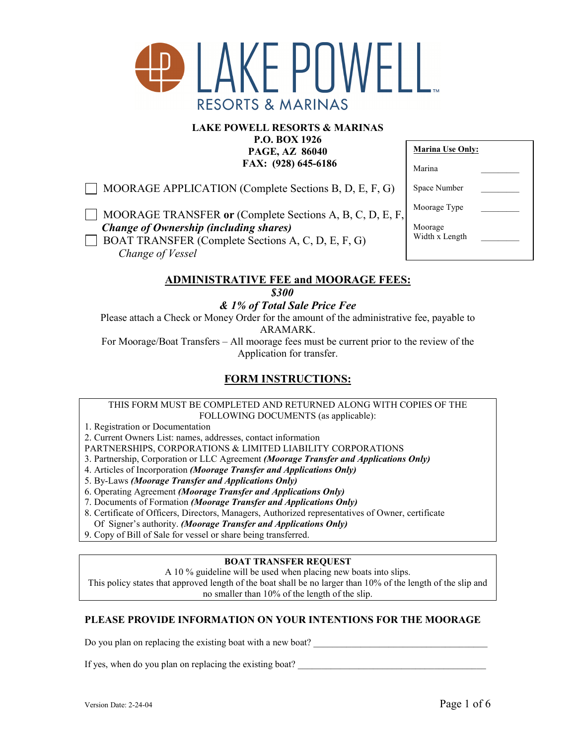

### **LAKE POWELL RESORTS & MARINAS**

**P.O. BOX 1926 PAGE, AZ 86040 FAX: (928) 645-6186** 

 $\Box$  MOORAGE APPLICATION (Complete Sections B, D, E, F, G)

**MOORAGE TRANSFER or (Complete Sections A, B, C, D, E, F,**  *Change of Ownership (including shares)*  BOAT TRANSFER (Complete Sections A, C, D, E, F, G) *Change of Vessel* 

| <b>Marina Use Only:</b>   |  |
|---------------------------|--|
| Marina                    |  |
| Space Number              |  |
| Moorage Type              |  |
| Moorage<br>Width x Length |  |

# **ADMINISTRATIVE FEE and MOORAGE FEES:**

*\$300* 

*& 1% of Total Sale Price Fee* 

Please attach a Check or Money Order for the amount of the administrative fee, payable to ARAMARK.

For Moorage/Boat Transfers – All moorage fees must be current prior to the review of the Application for transfer.

## **FORM INSTRUCTIONS:**

THIS FORM MUST BE COMPLETED AND RETURNED ALONG WITH COPIES OF THE FOLLOWING DOCUMENTS (as applicable):

1. Registration or Documentation

2. Current Owners List: names, addresses, contact information

PARTNERSHIPS, CORPORATIONS & LIMITED LIABILITY CORPORATIONS

- 3. Partnership, Corporation or LLC Agreement *(Moorage Transfer and Applications Only)*
- 4. Articles of Incorporation *(Moorage Transfer and Applications Only)*
- 5. By-Laws *(Moorage Transfer and Applications Only)*
- 6. Operating Agreement *(Moorage Transfer and Applications Only)*
- 7. Documents of Formation *(Moorage Transfer and Applications Only)*

8. Certificate of Officers, Directors, Managers, Authorized representatives of Owner, certificate Of Signer's authority. *(Moorage Transfer and Applications Only)* 

9. Copy of Bill of Sale for vessel or share being transferred.

#### **BOAT TRANSFER REQUEST**

A 10 % guideline will be used when placing new boats into slips.

This policy states that approved length of the boat shall be no larger than 10% of the length of the slip and no smaller than 10% of the length of the slip.

## **PLEASE PROVIDE INFORMATION ON YOUR INTENTIONS FOR THE MOORAGE**

Do you plan on replacing the existing boat with a new boat?

If yes, when do you plan on replacing the existing boat?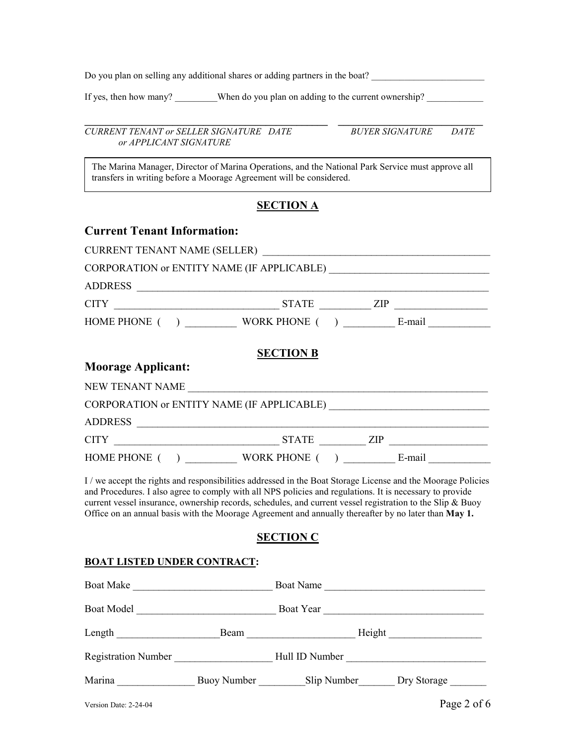Do you plan on selling any additional shares or adding partners in the boat? \_\_\_\_\_\_\_\_\_\_\_\_\_\_\_\_\_\_\_\_\_\_\_\_

If yes, then how many? When do you plan on adding to the current ownership?

*CURRENT TENANT or SELLER SIGNATURE DATE BUYER SIGNATURE DATE or APPLICANT SIGNATURE* 

**\_\_\_\_\_\_\_\_\_\_\_\_\_\_\_\_\_\_\_\_\_\_\_\_\_\_\_\_\_\_\_\_\_\_\_\_\_\_\_\_\_\_\_\_\_\_\_ \_\_\_\_\_\_\_\_\_\_\_\_\_\_\_\_\_\_\_\_\_\_\_\_\_\_\_\_** 

The Marina Manager, Director of Marina Operations, and the National Park Service must approve all transfers in writing before a Moorage Agreement will be considered.

### **SECTION A**

| <b>Current Tenant Information:</b>                                                                           |                  |  |
|--------------------------------------------------------------------------------------------------------------|------------------|--|
|                                                                                                              |                  |  |
|                                                                                                              |                  |  |
|                                                                                                              |                  |  |
|                                                                                                              |                  |  |
|                                                                                                              |                  |  |
| <b>Moorage Applicant:</b>                                                                                    | <b>SECTION B</b> |  |
|                                                                                                              |                  |  |
|                                                                                                              |                  |  |
| ADDRESS                                                                                                      |                  |  |
|                                                                                                              |                  |  |
| HOME PHONE () WORK PHONE () E-mail                                                                           |                  |  |
| I / we accept the rights and responsibilities addressed in the Boat Storage License and the Moorage Policies |                  |  |

and Procedures. I also agree to comply with all NPS policies and regulations. It is necessary to provide current vessel insurance, ownership records, schedules, and current vessel registration to the Slip & Buoy Office on an annual basis with the Moorage Agreement and annually thereafter by no later than **May 1.** 

## **SECTION C**

#### **BOAT LISTED UNDER CONTRACT:**

| <b>Boat Make</b>           |             | Boat Name      |             |
|----------------------------|-------------|----------------|-------------|
| <b>Boat Model</b>          |             | Boat Year      |             |
| Length                     | Beam        | Height         |             |
| <b>Registration Number</b> |             | Hull ID Number |             |
| Marina                     | Buoy Number | Slip Number    | Dry Storage |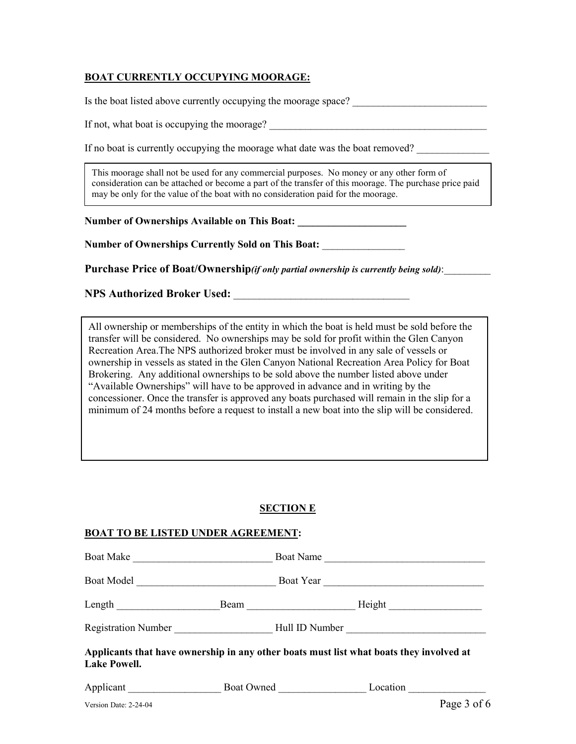### **BOAT CURRENTLY OCCUPYING MOORAGE:**

Is the boat listed above currently occupying the moorage space? \_\_\_\_\_\_\_\_\_\_\_\_\_\_\_\_\_

If not, what boat is occupying the moorage?

If no boat is currently occupying the moorage what date was the boat removed?

may be only for the value of the boat with no consideration paid for the moorage. This moorage shall not be used for any commercial purposes. No money or any other form of consideration can be attached or become a part of the transfer of this moorage. The purchase price paid

**Number of Ownerships Available on This Boat: \_\_\_\_\_\_\_\_\_\_\_\_\_\_\_\_\_\_\_\_\_** 

**Number of Ownerships Currently Sold on This Boat:** \_\_\_\_\_\_\_\_\_\_\_\_\_\_\_\_

**Purchase Price of Boat/Ownership***(if only partial ownership is currently being sold)*:\_\_\_\_\_\_\_\_\_

**NPS Authorized Broker Used:**  $\blacksquare$ 

All ownership or memberships of the entity in which the boat is held must be sold before the transfer will be considered. No ownerships may be sold for profit within the Glen Canyon Recreation Area.The NPS authorized broker must be involved in any sale of vessels or ownership in vessels as stated in the Glen Canyon National Recreation Area Policy for Boat Brokering. Any additional ownerships to be sold above the number listed above under "Available Ownerships" will have to be approved in advance and in writing by the concessioner. Once the transfer is approved any boats purchased will remain in the slip for a minimum of 24 months before a request to install a new boat into the slip will be considered.

#### **SECTION E**

#### **BOAT TO BE LISTED UNDER AGREEMENT:**

| <b>Boat Make</b>                                                                                               |  | Boat Name  |                |
|----------------------------------------------------------------------------------------------------------------|--|------------|----------------|
|                                                                                                                |  |            | Boat Year      |
| Length $\qquad \qquad$                                                                                         |  |            |                |
| Registration Number                                                                                            |  |            | Hull ID Number |
| Applicants that have ownership in any other boats must list what boats they involved at<br><b>Lake Powell.</b> |  |            |                |
| Applicant                                                                                                      |  | Boat Owned | Location       |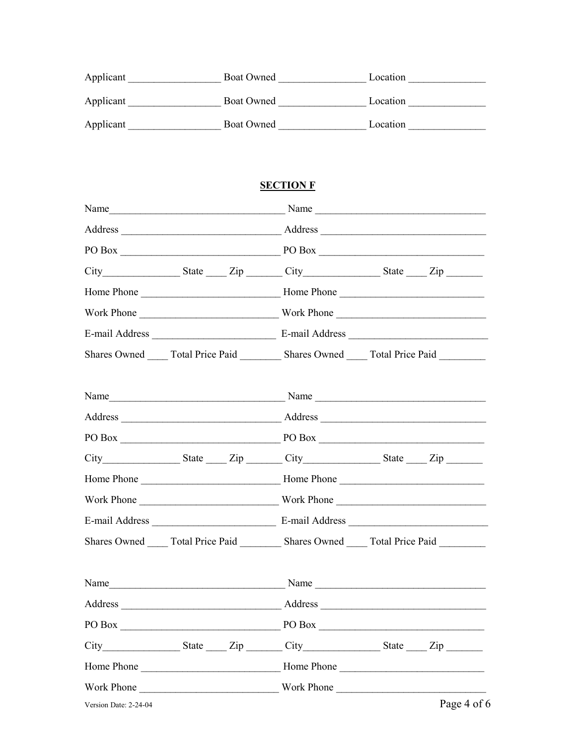| Applicant | <b>Boat Owned</b> | Location |
|-----------|-------------------|----------|
| Applicant | Boat Owned        | Location |
| Applicant | Boat Owned        | Location |

## **SECTION F**

|                   | $PO Box$ $PO Box$                                                                               |
|-------------------|-------------------------------------------------------------------------------------------------|
|                   |                                                                                                 |
|                   |                                                                                                 |
|                   |                                                                                                 |
|                   |                                                                                                 |
|                   | Shares Owned ______ Total Price Paid __________ Shares Owned ______ Total Price Paid _________  |
|                   |                                                                                                 |
|                   |                                                                                                 |
|                   | PO Box PO Box                                                                                   |
|                   | City State Zip City State Zip                                                                   |
|                   |                                                                                                 |
|                   |                                                                                                 |
|                   |                                                                                                 |
|                   | Shares Owned ______ Total Price Paid ___________ Shares Owned ______ Total Price Paid _________ |
| Name              | Name                                                                                            |
|                   | Address                                                                                         |
| $PO Box$ $PO Box$ |                                                                                                 |
|                   |                                                                                                 |
|                   |                                                                                                 |
| Work Phone        | Work Phone                                                                                      |